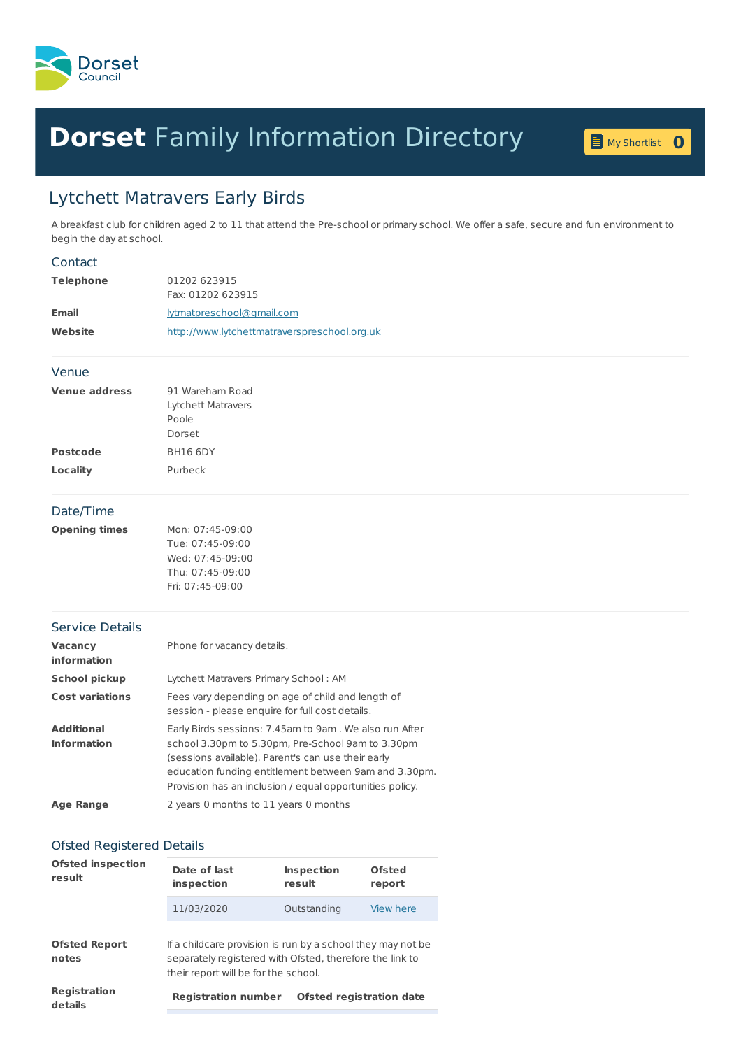

## **Dorset** Family [Information](home.page) Directory **<sup>0</sup>**



## Lytchett Matravers Early Birds

A breakfast club for children aged 2 to 11 that attend the Pre-school or primary school. We offer a safe, secure and fun environment to begin the day at school.

## **Telephone** 01202 623915 Fax: 01202 623915 **Email** [lytmatpreschool@gmail.com](mailto:lytmatpreschool@gmail.com) **Website** <http://www.lytchettmatraverspreschool.org.uk> **Venue address** 91 Wareham Road Lytchett Matravers Poole Dorset Postcode BH16 6DY **Locality** Purbeck **Opening times** Mon: 07:45-09:00 Tue: 07:45-09:00 Wed: 07:45-09:00 Thu: 07:45-09:00 Fri: 07:45-09:00 **Vacancy information** Phone for vacancy details. **School pickup** Lytchett Matravers Primary School : AM **Cost variations** Fees vary depending on age of child and length of session - please enquire for full cost details. **Additional Information** Early Birds sessions: 7.45am to 9am . We also run After school 3.30pm to 5.30pm, Pre-School 9am to 3.30pm (sessions available). Parent's can use their early education funding entitlement between 9am and 3.30pm. Provision has an inclusion / equal opportunities policy. **Age Range** 2 years 0 months to 11 years 0 months **Contact** Venue Date/Time Service Details

## Ofsted Registered Details

| <b>Ofsted inspection</b><br>result |                                                                                                                                                                 |                                 |                  |  |  |
|------------------------------------|-----------------------------------------------------------------------------------------------------------------------------------------------------------------|---------------------------------|------------------|--|--|
|                                    | Date of last<br>inspection                                                                                                                                      | <b>Inspection</b><br>result     | Ofsted<br>report |  |  |
|                                    | 11/03/2020                                                                                                                                                      | Outstanding                     | View here        |  |  |
| <b>Ofsted Report</b><br>notes      | If a childcare provision is run by a school they may not be<br>separately registered with Ofsted, therefore the link to<br>their report will be for the school. |                                 |                  |  |  |
| <b>Registration</b><br>details     | <b>Registration number</b>                                                                                                                                      | <b>Ofsted registration date</b> |                  |  |  |
|                                    |                                                                                                                                                                 |                                 |                  |  |  |